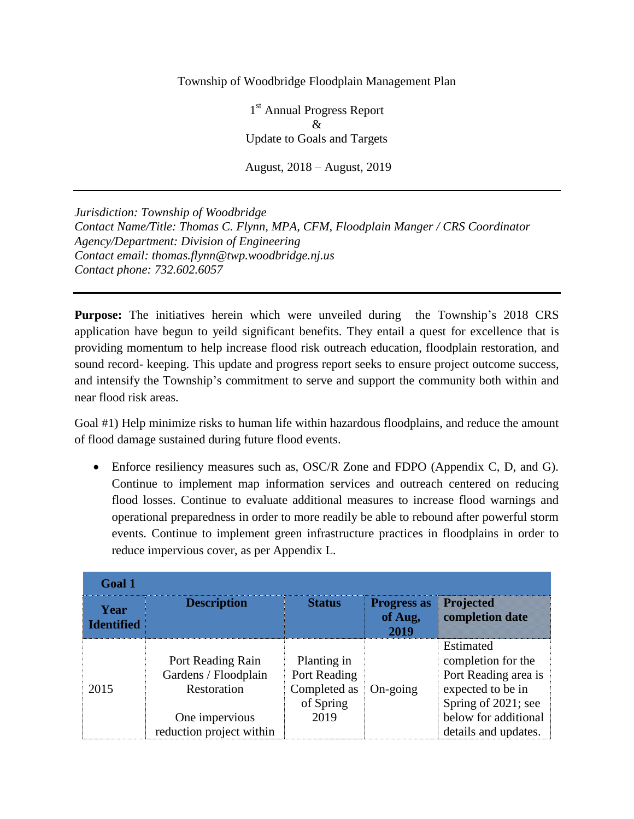## Township of Woodbridge Floodplain Management Plan

1<sup>st</sup> Annual Progress Report & Update to Goals and Targets August, 2018 – August, 2019

*Jurisdiction: Township of Woodbridge Contact Name/Title: Thomas C. Flynn, MPA, CFM, Floodplain Manger / CRS Coordinator Agency/Department: Division of Engineering Contact email: thomas.flynn@twp.woodbridge.nj.us Contact phone: 732.602.6057*

**Purpose:** The initiatives herein which were unveiled during the Township's 2018 CRS application have begun to yeild significant benefits. They entail a quest for excellence that is providing momentum to help increase flood risk outreach education, floodplain restoration, and sound record- keeping. This update and progress report seeks to ensure project outcome success, and intensify the Township's commitment to serve and support the community both within and near flood risk areas.

Goal #1) Help minimize risks to human life within hazardous floodplains, and reduce the amount of flood damage sustained during future flood events.

• Enforce resiliency measures such as, OSC/R Zone and FDPO (Appendix C, D, and G). Continue to implement map information services and outreach centered on reducing flood losses. Continue to evaluate additional measures to increase flood warnings and operational preparedness in order to more readily be able to rebound after powerful storm events. Continue to implement green infrastructure practices in floodplains in order to reduce impervious cover, as per Appendix L.

| Goal 1                    |                                                                                                        |                                                                  |                                       |                                                                                                                                                     |  |  |
|---------------------------|--------------------------------------------------------------------------------------------------------|------------------------------------------------------------------|---------------------------------------|-----------------------------------------------------------------------------------------------------------------------------------------------------|--|--|
| Year<br><b>Identified</b> | <b>Description</b>                                                                                     | <b>Status</b>                                                    | <b>Progress as</b><br>of Aug,<br>2019 | Projected<br>completion date                                                                                                                        |  |  |
| 2015                      | Port Reading Rain<br>Gardens / Floodplain<br>Restoration<br>One impervious<br>reduction project within | Planting in<br>Port Reading<br>Completed as<br>of Spring<br>2019 | $On\text{-going}$                     | Estimated<br>completion for the<br>Port Reading area is<br>expected to be in<br>Spring of 2021; see<br>below for additional<br>details and updates. |  |  |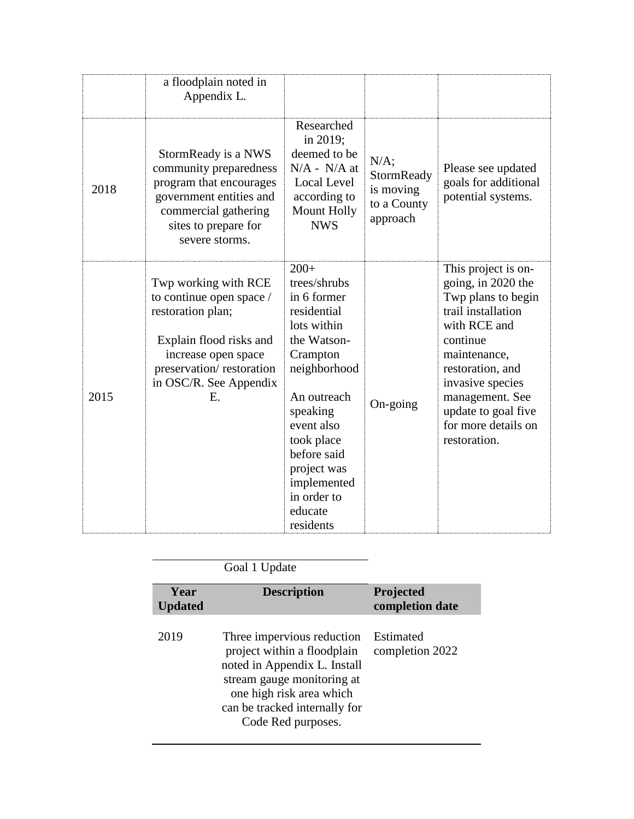|      | a floodplain noted in<br>Appendix L.                                                                                                                                                |                                                                                                                                                                                                                                                           |                                                               |                                                                                                                                                                                                                                                            |
|------|-------------------------------------------------------------------------------------------------------------------------------------------------------------------------------------|-----------------------------------------------------------------------------------------------------------------------------------------------------------------------------------------------------------------------------------------------------------|---------------------------------------------------------------|------------------------------------------------------------------------------------------------------------------------------------------------------------------------------------------------------------------------------------------------------------|
| 2018 | StormReady is a NWS<br>community preparedness<br>program that encourages<br>government entities and<br>commercial gathering<br>sites to prepare for<br>severe storms.               | Researched<br>in 2019;<br>deemed to be<br>$N/A - N/A$ at<br><b>Local Level</b><br>according to<br>Mount Holly<br><b>NWS</b>                                                                                                                               | $N/A$ ;<br>StormReady<br>is moving<br>to a County<br>approach | Please see updated<br>goals for additional<br>potential systems.                                                                                                                                                                                           |
| 2015 | Twp working with RCE<br>to continue open space /<br>restoration plan;<br>Explain flood risks and<br>increase open space<br>preservation/restoration<br>in OSC/R. See Appendix<br>E. | $200+$<br>trees/shrubs<br>in 6 former<br>residential<br>lots within<br>the Watson-<br>Crampton<br>neighborhood<br>An outreach<br>speaking<br>event also<br>took place<br>before said<br>project was<br>implemented<br>in order to<br>educate<br>residents | On-going                                                      | This project is on-<br>going, in 2020 the<br>Twp plans to begin<br>trail installation<br>with RCE and<br>continue<br>maintenance,<br>restoration, and<br>invasive species<br>management. See<br>update to goal five<br>for more details on<br>restoration. |

| Year<br><b>Updated</b> |
|------------------------|
| 2019                   |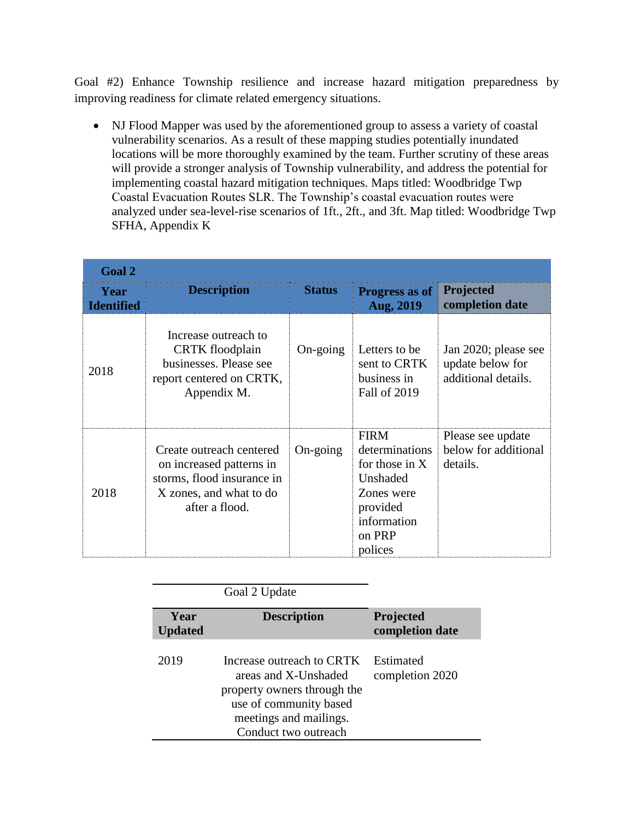Goal #2) Enhance Township resilience and increase hazard mitigation preparedness by improving readiness for climate related emergency situations.

 NJ Flood Mapper was used by the aforementioned group to assess a variety of coastal vulnerability scenarios. As a result of these mapping studies potentially inundated locations will be more thoroughly examined by the team. Further scrutiny of these areas will provide a stronger analysis of Township vulnerability, and address the potential for implementing coastal hazard mitigation techniques. Maps titled: Woodbridge Twp Coastal Evacuation Routes SLR. The Township's coastal evacuation routes were analyzed under sea-level-rise scenarios of 1ft., 2ft., and 3ft. Map titled: Woodbridge Twp SFHA, Appendix K

| <b>Goal 2</b>             |                                                                                                                                 |                   |                                                                                                                             |                                                                 |
|---------------------------|---------------------------------------------------------------------------------------------------------------------------------|-------------------|-----------------------------------------------------------------------------------------------------------------------------|-----------------------------------------------------------------|
| Year<br><b>Identified</b> | <b>Description</b>                                                                                                              | <b>Status</b>     | <b>Progress as of</b><br>Aug, 2019                                                                                          | Projected<br><b>completion date</b>                             |
| 2018                      | Increase outreach to<br><b>CRTK</b> floodplain<br>businesses. Please see<br>report centered on CRTK,<br>Appendix M.             | $On\text{-going}$ | Letters to be<br>sent to CRTK<br>business in<br>Fall of 2019                                                                | Jan 2020; please see<br>update below for<br>additional details. |
| 2018                      | Create outreach centered<br>on increased patterns in<br>storms, flood insurance in<br>X zones, and what to do<br>after a flood. | On-going          | <b>FIRM</b><br>determinations<br>for those in $X$<br>Unshaded<br>Zones were<br>provided<br>information<br>on PRP<br>polices | Please see update<br>below for additional<br>details.           |

|                        | Goal 2 Update                                                                                                                                                |                              |
|------------------------|--------------------------------------------------------------------------------------------------------------------------------------------------------------|------------------------------|
| Year<br><b>Updated</b> | <b>Description</b>                                                                                                                                           | Projected<br>completion date |
| 2019                   | Increase outreach to CRTK<br>areas and X-Unshaded<br>property owners through the<br>use of community based<br>meetings and mailings.<br>Conduct two outreach | Estimated<br>completion 2020 |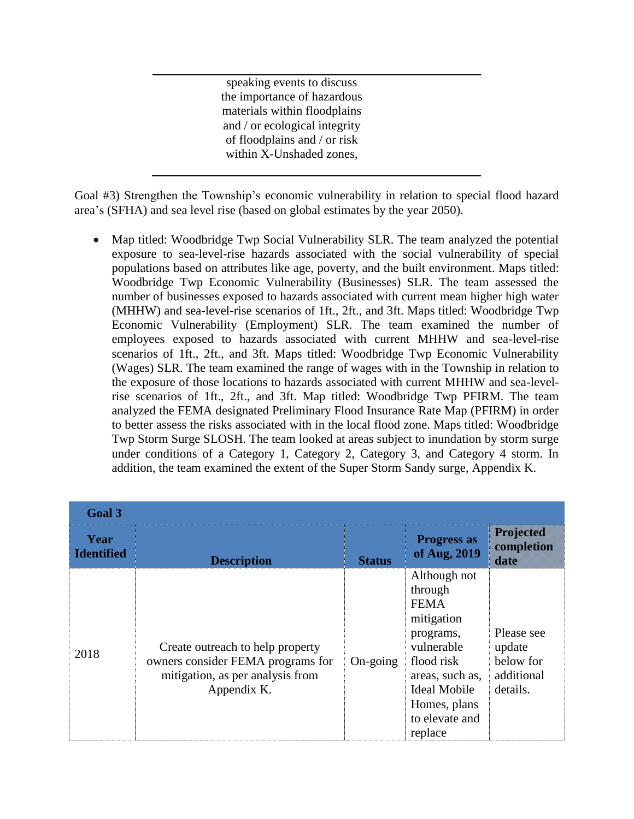speaking events to discuss the importance of hazardous materials within floodplains and / or ecological integrity of floodplains and / or risk within X-Unshaded zones,

Goal #3) Strengthen the Township's economic vulnerability in relation to special flood hazard area's (SFHA) and sea level rise (based on global estimates by the year 2050).

 Map titled: Woodbridge Twp Social Vulnerability SLR. The team analyzed the potential exposure to sea-level-rise hazards associated with the social vulnerability of special populations based on attributes like age, poverty, and the built environment. Maps titled: Woodbridge Twp Economic Vulnerability (Businesses) SLR. The team assessed the number of businesses exposed to hazards associated with current mean higher high water (MHHW) and sea-level-rise scenarios of 1ft., 2ft., and 3ft. Maps titled: Woodbridge Twp Economic Vulnerability (Employment) SLR. The team examined the number of employees exposed to hazards associated with current MHHW and sea-level-rise scenarios of 1ft., 2ft., and 3ft. Maps titled: Woodbridge Twp Economic Vulnerability (Wages) SLR. The team examined the range of wages with in the Township in relation to the exposure of those locations to hazards associated with current MHHW and sea-levelrise scenarios of 1ft., 2ft., and 3ft. Map titled: Woodbridge Twp PFIRM. The team analyzed the FEMA designated Preliminary Flood Insurance Rate Map (PFIRM) in order to better assess the risks associated with in the local flood zone. Maps titled: Woodbridge Twp Storm Surge SLOSH. The team looked at areas subject to inundation by storm surge under conditions of a Category 1, Category 2, Category 3, and Category 4 storm. In addition, the team examined the extent of the Super Storm Sandy surge, Appendix K.

| Goal 3                    |                                                                                                                          |                   |                                                                                                                                                                               |                                                             |
|---------------------------|--------------------------------------------------------------------------------------------------------------------------|-------------------|-------------------------------------------------------------------------------------------------------------------------------------------------------------------------------|-------------------------------------------------------------|
| Year<br><b>Identified</b> | <b>Description</b>                                                                                                       | <b>Status</b>     | <b>Progress as</b><br>of Aug, 2019                                                                                                                                            | <b>Projected</b><br>completion<br>date                      |
| 2018                      | Create outreach to help property<br>owners consider FEMA programs for<br>mitigation, as per analysis from<br>Appendix K. | $On\text{-going}$ | Although not<br>through<br><b>FEMA</b><br>mitigation<br>programs,<br>vulnerable<br>flood risk<br>areas, such as,<br>Ideal Mobile<br>Homes, plans<br>to elevate and<br>replace | Please see<br>update<br>below for<br>additional<br>details. |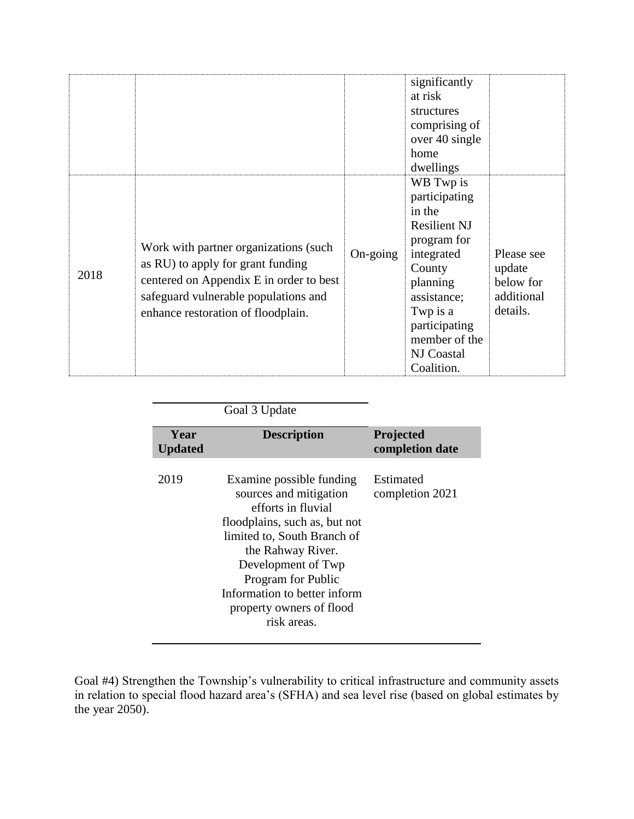|      |                                                                                                                                                                                                     |                   | significantly<br>at risk<br>structures<br>comprising of<br>over 40 single<br>home<br>dwellings                                                                                                          |                                                             |
|------|-----------------------------------------------------------------------------------------------------------------------------------------------------------------------------------------------------|-------------------|---------------------------------------------------------------------------------------------------------------------------------------------------------------------------------------------------------|-------------------------------------------------------------|
| 2018 | Work with partner organizations (such<br>as RU) to apply for grant funding<br>centered on Appendix E in order to best<br>safeguard vulnerable populations and<br>enhance restoration of floodplain. | $On\text{-going}$ | WB Twp is<br>participating<br>in the<br><b>Resilient NJ</b><br>program for<br>integrated<br>County<br>planning<br>assistance;<br>Twp is a<br>participating<br>member of the<br>NJ Coastal<br>Coalition. | Please see<br>update<br>below for<br>additional<br>details. |

| Goal 3 Update |
|---------------|
|               |

| Year<br><b>Updated</b> | <b>Description</b>                                                                                                                                                                                                                                                                   | Projected<br>completion date |
|------------------------|--------------------------------------------------------------------------------------------------------------------------------------------------------------------------------------------------------------------------------------------------------------------------------------|------------------------------|
| 2019                   | Examine possible funding<br>sources and mitigation<br>efforts in fluvial<br>floodplains, such as, but not<br>limited to, South Branch of<br>the Rahway River.<br>Development of Twp<br>Program for Public<br>Information to better inform<br>property owners of flood<br>risk areas. | Estimated<br>completion 2021 |

Goal #4) Strengthen the Township's vulnerability to critical infrastructure and community assets in relation to special flood hazard area's (SFHA) and sea level rise (based on global estimates by the year 2050).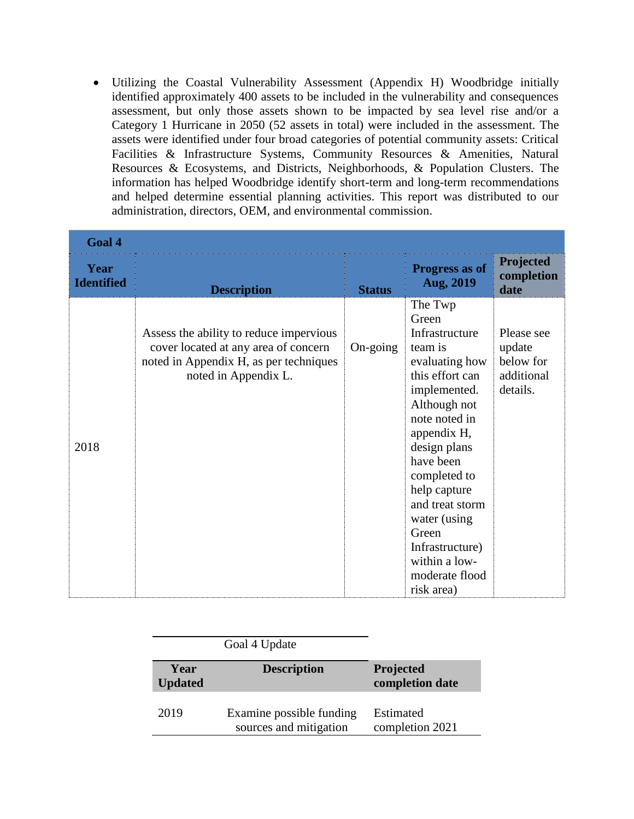Utilizing the Coastal Vulnerability Assessment (Appendix H) Woodbridge initially identified approximately 400 assets to be included in the vulnerability and consequences assessment, but only those assets shown to be impacted by sea level rise and/or a Category 1 Hurricane in 2050 (52 assets in total) were included in the assessment. The assets were identified under four broad categories of potential community assets: Critical Facilities & Infrastructure Systems, Community Resources & Amenities, Natural Resources & Ecosystems, and Districts, Neighborhoods, & Population Clusters. The information has helped Woodbridge identify short-term and long-term recommendations and helped determine essential planning activities. This report was distributed to our administration, directors, OEM, and environmental commission.

| Goal 4                    |                                                                                                                                                   |                   |                                                                                                                                                                                                                                                                                                                                 |                                                             |  |
|---------------------------|---------------------------------------------------------------------------------------------------------------------------------------------------|-------------------|---------------------------------------------------------------------------------------------------------------------------------------------------------------------------------------------------------------------------------------------------------------------------------------------------------------------------------|-------------------------------------------------------------|--|
| Year<br><b>Identified</b> | <b>Description</b>                                                                                                                                | <b>Status</b>     | Progress as of<br>Aug, 2019                                                                                                                                                                                                                                                                                                     | <b>Projected</b><br>completion<br>date                      |  |
| 2018                      | Assess the ability to reduce impervious<br>cover located at any area of concern<br>noted in Appendix H, as per techniques<br>noted in Appendix L. | $On\text{-going}$ | The Twp<br>Green<br>Infrastructure<br>team is<br>evaluating how<br>this effort can<br>implemented.<br>Although not<br>note noted in<br>appendix H,<br>design plans<br>have been<br>completed to<br>help capture<br>and treat storm<br>water (using<br>Green<br>Infrastructure)<br>within a low-<br>moderate flood<br>risk area) | Please see<br>update<br>below for<br>additional<br>details. |  |

|                        | Goal 4 Update                                      |                              |
|------------------------|----------------------------------------------------|------------------------------|
| Year<br><b>Updated</b> | <b>Description</b>                                 | Projected<br>completion date |
| 2019                   | Examine possible funding<br>sources and mitigation | Estimated<br>completion 2021 |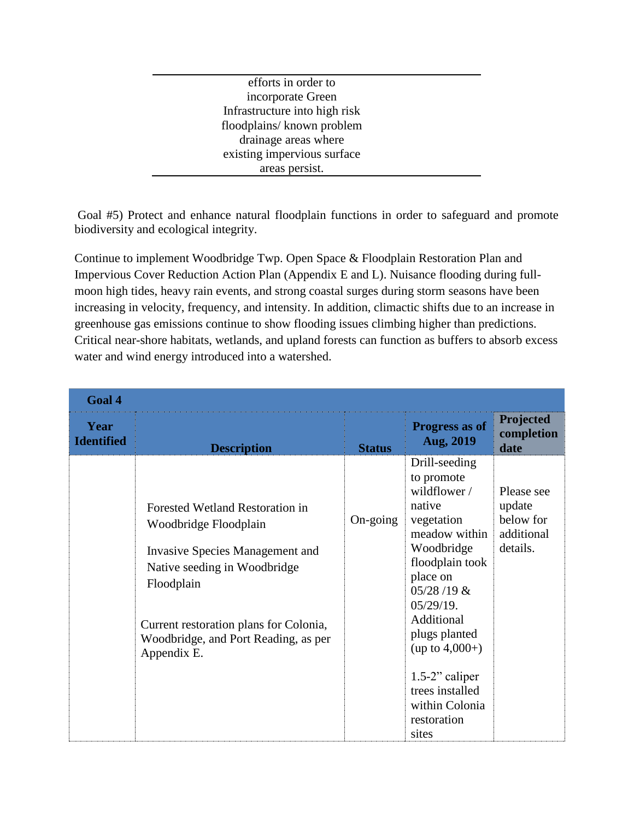efforts in order to incorporate Green Infrastructure into high risk floodplains/ known problem drainage areas where existing impervious surface areas persist.

Goal #5) Protect and enhance natural floodplain functions in order to safeguard and promote biodiversity and ecological integrity.

Continue to implement Woodbridge Twp. Open Space & Floodplain Restoration Plan and Impervious Cover Reduction Action Plan (Appendix E and L). Nuisance flooding during fullmoon high tides, heavy rain events, and strong coastal surges during storm seasons have been increasing in velocity, frequency, and intensity. In addition, climactic shifts due to an increase in greenhouse gas emissions continue to show flooding issues climbing higher than predictions. Critical near-shore habitats, wetlands, and upland forests can function as buffers to absorb excess water and wind energy introduced into a watershed.

| Goal 4                    |                                                                                                                                                                                                                                            |                   |                                                                                                                                                                                                                                                                                                        |                                                             |
|---------------------------|--------------------------------------------------------------------------------------------------------------------------------------------------------------------------------------------------------------------------------------------|-------------------|--------------------------------------------------------------------------------------------------------------------------------------------------------------------------------------------------------------------------------------------------------------------------------------------------------|-------------------------------------------------------------|
| Year<br><b>Identified</b> | <b>Description</b>                                                                                                                                                                                                                         | <b>Status</b>     | Progress as of<br>Aug, 2019                                                                                                                                                                                                                                                                            | Projected<br>completion<br>date                             |
|                           | Forested Wetland Restoration in<br>Woodbridge Floodplain<br>Invasive Species Management and<br>Native seeding in Woodbridge<br>Floodplain<br>Current restoration plans for Colonia,<br>Woodbridge, and Port Reading, as per<br>Appendix E. | $On\text{-going}$ | Drill-seeding<br>to promote<br>wildflower /<br>native<br>vegetation<br>meadow within<br>Woodbridge<br>floodplain took<br>place on<br>$05/28/19$ &<br>$05/29/19$ .<br>Additional<br>plugs planted<br>$(up to 4,000+)$<br>$1.5-2$ " caliper<br>trees installed<br>within Colonia<br>restoration<br>sites | Please see<br>update<br>below for<br>additional<br>details. |